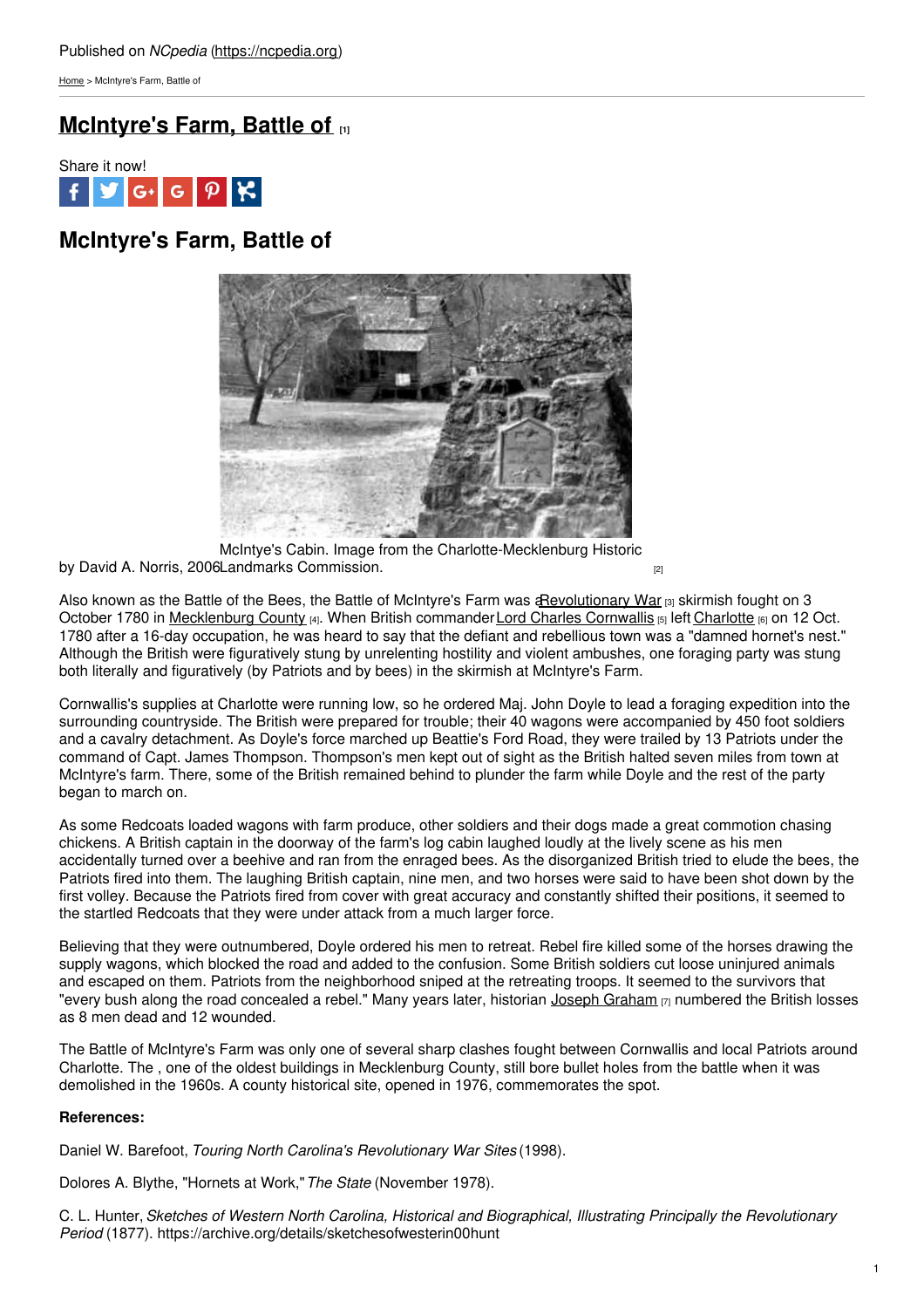[Home](https://ncpedia.org/) > McIntyre's Farm, Battle of

# **[McIntyre's](https://ncpedia.org/mcintyres-farm-battle) Farm, Battle of [1]**



# **McIntyre's Farm, Battle of**



by David A. Norris, 2006 Landmarks [Commission.](http://www.cmhpf.org/Properties Foundation Reports/McIntyreFarm.html) [2] McIntye's Cabin. Image from the Charlotte-Mecklenburg Historic

Also known as the Battle of the Bees, the Battle of McIntyre's Farm was an evolutionary War [3] skirmish fought on 3 October 1780 in [Mecklenburg](https://ncpedia.org/geography/mecklenburg) County [4]. When British commander Lord Charles [Cornwallis](http://www.pbs.org/wnet/historyofus/web02/features/bio/B03.html) [5] left [Charlotte](https://ncpedia.org/geography/charlotte) [6] on 12 Oct. 1780 after a 16-day occupation, he was heard to say that the defiant and rebellious town was a "damned hornet's nest." Although the British were figuratively stung by unrelenting hostility and violent ambushes, one foraging party was stung both literally and figuratively (by Patriots and by bees) in the skirmish at McIntyre's Farm.

Cornwallis's supplies at Charlotte were running low, so he ordered Maj. John Doyle to lead a foraging expedition into the surrounding countryside. The British were prepared for trouble; their 40 wagons were accompanied by 450 foot soldiers and a cavalry detachment. As Doyle's force marched up Beattie's Ford Road, they were trailed by 13 Patriots under the command of Capt. James Thompson. Thompson's men kept out of sight as the British halted seven miles from town at McIntyre's farm. There, some of the British remained behind to plunder the farm while Doyle and the rest of the party began to march on.

As some Redcoats loaded wagons with farm produce, other soldiers and their dogs made a great commotion chasing chickens. A British captain in the doorway of the farm's log cabin laughed loudly at the lively scene as his men accidentally turned over a beehive and ran from the enraged bees. As the disorganized British tried to elude the bees, the Patriots fired into them. The laughing British captain, nine men, and two horses were said to have been shot down by the first volley. Because the Patriots fired from cover with great accuracy and constantly shifted their positions, it seemed to the startled Redcoats that they were under attack from a much larger force.

Believing that they were outnumbered, Doyle ordered his men to retreat. Rebel fire killed some of the horses drawing the supply wagons, which blocked the road and added to the confusion. Some British soldiers cut loose uninjured animals and escaped on them. Patriots from the neighborhood sniped at the retreating troops. It seemed to the survivors that "every bush along the road concealed a rebel." Many years later, historian Joseph [Graham](https://ncpedia.org/biography/graham-joseph) [7] numbered the British losses as 8 men dead and 12 wounded.

The Battle of McIntyre's Farm was only one of several sharp clashes fought between Cornwallis and local Patriots around Charlotte. The , one of the oldest buildings in Mecklenburg County, still bore bullet holes from the battle when it was demolished in the 1960s. A county historical site, opened in 1976, commemorates the spot.

### **References:**

Daniel W. Barefoot, *Touring North Carolina's Revolutionary War Sites* (1998).

Dolores A. Blythe, "Hornets at Work,"*The State* (November 1978).

C. L. Hunter,*Sketches of Western North Carolina, Historical and Biographical, Illustrating Principally the Revolutionary Period* (1877). https://archive.org/details/sketchesofwesterin00hunt